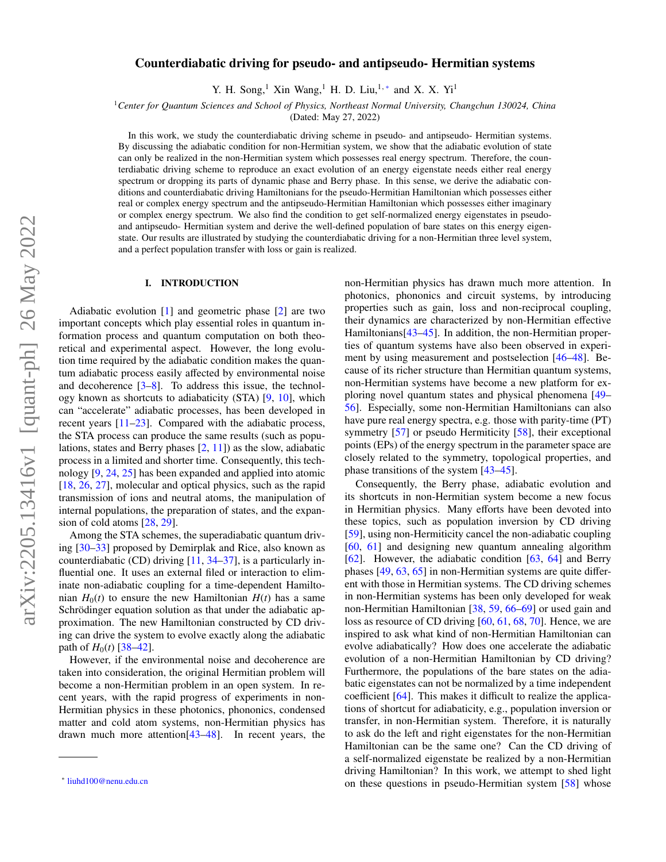# Counterdiabatic driving for pseudo- and antipseudo- Hermitian systems

Y. H. Song,<sup>1</sup> Xin Wang,<sup>1</sup> H. D. Liu,<sup>1,\*</sup> and X. X. Yi<sup>1</sup>

<sup>1</sup>*Center for Quantum Sciences and School of Physics, Northeast Normal University, Changchun 130024, China*

(Dated: May 27, 2022)

In this work, we study the counterdiabatic driving scheme in pseudo- and antipseudo- Hermitian systems. By discussing the adiabatic condition for non-Hermitian system, we show that the adiabatic evolution of state can only be realized in the non-Hermitian system which possesses real energy spectrum. Therefore, the counterdiabatic driving scheme to reproduce an exact evolution of an energy eigenstate needs either real energy spectrum or dropping its parts of dynamic phase and Berry phase. In this sense, we derive the adiabatic conditions and counterdiabatic driving Hamiltonians for the pseudo-Hermitian Hamiltonian which possesses either real or complex energy spectrum and the antipseudo-Hermitian Hamiltonian which possesses either imaginary or complex energy spectrum. We also find the condition to get self-normalized energy eigenstates in pseudoand antipseudo- Hermitian system and derive the well-defined population of bare states on this energy eigenstate. Our results are illustrated by studying the counterdiabatic driving for a non-Hermitian three level system, and a perfect population transfer with loss or gain is realized.

## I. INTRODUCTION

Adiabatic evolution [\[1\]](#page-7-0) and geometric phase [\[2\]](#page-7-1) are two important concepts which play essential roles in quantum information process and quantum computation on both theoretical and experimental aspect. However, the long evolution time required by the adiabatic condition makes the quantum adiabatic process easily affected by environmental noise and decoherence [\[3](#page-7-2)[–8\]](#page-7-3). To address this issue, the technology known as shortcuts to adiabaticity (STA) [\[9,](#page-7-4) [10\]](#page-7-5), which can "accelerate" adiabatic processes, has been developed in recent years [\[11](#page-7-6)[–23\]](#page-7-7). Compared with the adiabatic process, the STA process can produce the same results (such as populations, states and Berry phases [\[2,](#page-7-1) [11\]](#page-7-6)) as the slow, adiabatic process in a limited and shorter time. Consequently, this technology [\[9,](#page-7-4) [24,](#page-7-8) [25\]](#page-7-9) has been expanded and applied into atomic [\[18,](#page-7-10) [26,](#page-7-11) [27\]](#page-7-12), molecular and optical physics, such as the rapid transmission of ions and neutral atoms, the manipulation of internal populations, the preparation of states, and the expansion of cold atoms [\[28,](#page-7-13) [29\]](#page-7-14).

Among the STA schemes, the superadiabatic quantum driving [\[30–](#page-8-0)[33\]](#page-8-1) proposed by Demirplak and Rice, also known as counterdiabatic (CD) driving [\[11,](#page-7-6) [34](#page-8-2)[–37\]](#page-8-3), is a particularly influential one. It uses an external filed or interaction to eliminate non-adiabatic coupling for a time-dependent Hamiltonian  $H_0(t)$  to ensure the new Hamiltonian  $H(t)$  has a same Schrödinger equation solution as that under the adiabatic approximation. The new Hamiltonian constructed by CD driving can drive the system to evolve exactly along the adiabatic path of  $H_0(t)$  [\[38](#page-8-4)[–42\]](#page-8-5).

However, if the environmental noise and decoherence are taken into consideration, the original Hermitian problem will become a non-Hermitian problem in an open system. In recent years, with the rapid progress of experiments in non-Hermitian physics in these photonics, phononics, condensed matter and cold atom systems, non-Hermitian physics has drawn much more attention[\[43](#page-8-6)[–48\]](#page-8-7). In recent years, the non-Hermitian physics has drawn much more attention. In photonics, phononics and circuit systems, by introducing properties such as gain, loss and non-reciprocal coupling, their dynamics are characterized by non-Hermitian effective Hamiltonians [\[43–](#page-8-6)[45\]](#page-8-8). In addition, the non-Hermitian properties of quantum systems have also been observed in experiment by using measurement and postselection [\[46](#page-8-9)[–48\]](#page-8-7). Because of its richer structure than Hermitian quantum systems, non-Hermitian systems have become a new platform for exploring novel quantum states and physical phenomena [\[49–](#page-8-10) [56\]](#page-8-11). Especially, some non-Hermitian Hamiltonians can also have pure real energy spectra, e.g. those with parity-time (PT) symmetry [\[57\]](#page-8-12) or pseudo Hermiticity [\[58\]](#page-8-13), their exceptional points (EPs) of the energy spectrum in the parameter space are closely related to the symmetry, topological properties, and phase transitions of the system [\[43](#page-8-6)[–45\]](#page-8-8).

Consequently, the Berry phase, adiabatic evolution and its shortcuts in non-Hermitian system become a new focus in Hermitian physics. Many efforts have been devoted into these topics, such as population inversion by CD driving [\[59\]](#page-8-14), using non-Hermiticity cancel the non-adiabatic coupling [\[60,](#page-8-15) [61\]](#page-8-16) and designing new quantum annealing algorithm [\[62\]](#page-8-17). However, the adiabatic condition [\[63,](#page-8-18) [64\]](#page-8-19) and Berry phases [\[49,](#page-8-10) [63,](#page-8-18) [65\]](#page-8-20) in non-Hermitian systems are quite different with those in Hermitian systems. The CD driving schemes in non-Hermitian systems has been only developed for weak non-Hermitian Hamiltonian [\[38,](#page-8-4) [59,](#page-8-14) [66–](#page-8-21)[69\]](#page-8-22) or used gain and loss as resource of CD driving [\[60,](#page-8-15) [61,](#page-8-16) [68,](#page-8-23) [70\]](#page-8-24). Hence, we are inspired to ask what kind of non-Hermitian Hamiltonian can evolve adiabatically? How does one accelerate the adiabatic evolution of a non-Hermitian Hamiltonian by CD driving? Furthermore, the populations of the bare states on the adiabatic eigenstates can not be normalized by a time independent coefficient [\[64\]](#page-8-19). This makes it difficult to realize the applications of shortcut for adiabaticity, e.g., population inversion or transfer, in non-Hermitian system. Therefore, it is naturally to ask do the left and right eigenstates for the non-Hermitian Hamiltonian can be the same one? Can the CD driving of a self-normalized eigenstate be realized by a non-Hermitian driving Hamiltonian? In this work, we attempt to shed light on these questions in pseudo-Hermitian system [\[58\]](#page-8-13) whose

<span id="page-0-0"></span><sup>∗</sup> [liuhd100@nenu.edu.cn](mailto:liuhd100@nenu.edu.cn)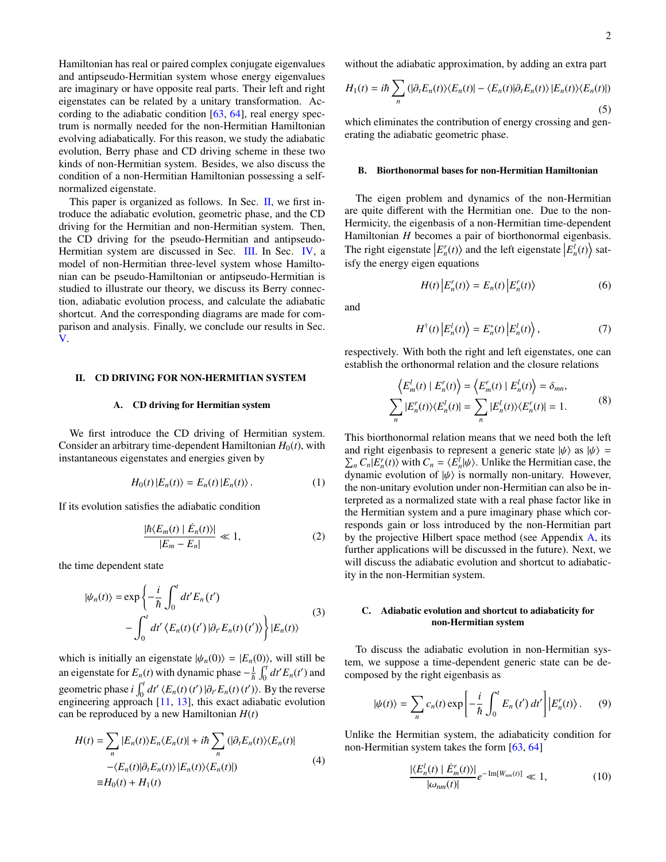Hamiltonian has real or paired complex conjugate eigenvalues and antipseudo-Hermitian system whose energy eigenvalues are imaginary or have opposite real parts. Their left and right eigenstates can be related by a unitary transformation. According to the adiabatic condition  $[63, 64]$  $[63, 64]$  $[63, 64]$ , real energy spectrum is normally needed for the non-Hermitian Hamiltonian evolving adiabatically. For this reason, we study the adiabatic evolution, Berry phase and CD driving scheme in these two kinds of non-Hermitian system. Besides, we also discuss the condition of a non-Hermitian Hamiltonian possessing a selfnormalized eigenstate.

This paper is organized as follows. In Sec.  $\Pi$ , we first introduce the adiabatic evolution, geometric phase, and the CD driving for the Hermitian and non-Hermitian system. Then, the CD driving for the pseudo-Hermitian and antipseudo-Hermitian system are discussed in Sec. [III.](#page-2-0) In Sec. [IV,](#page-4-0) a model of non-Hermitian three-level system whose Hamiltonian can be pseudo-Hamiltonian or antipseudo-Hermitian is studied to illustrate our theory, we discuss its Berry connection, adiabatic evolution process, and calculate the adiabatic shortcut. And the corresponding diagrams are made for comparison and analysis. Finally, we conclude our results in Sec. [V.](#page-6-0)

## <span id="page-1-0"></span>II. CD DRIVING FOR NON-HERMITIAN SYSTEM

### A. CD driving for Hermitian system

We first introduce the CD driving of Hermitian system. Consider an arbitrary time-dependent Hamiltonian  $H_0(t)$ , with instantaneous eigenstates and energies given by

$$
H_0(t) |E_n(t)\rangle = E_n(t) |E_n(t)\rangle.
$$
 (1)

If its evolution satisfies the adiabatic condition

$$
\frac{|\hbar \langle E_m(t) | \dot{E}_n(t) \rangle|}{|E_m - E_n|} \ll 1, \tag{2}
$$

the time dependent state

$$
|\psi_n(t)\rangle = \exp\left\{-\frac{i}{\hbar} \int_0^t dt' E_n(t')\right.-\int_0^t dt' \langle E_n(t)(t')|\partial_{t'} E_n(t)(t')\rangle\right\}|E_n(t)\rangle
$$
(3)

which is initially an eigenstate  $|\psi_n(0)\rangle = |E_n(0)\rangle$ , will still be an eigenstate for  $E_n(t)$  with dynamic phase  $-\frac{1}{\hbar} \int_0^t dt' E_n(t')$  and geometric phase *i*  $\int_0^t dt' \langle E_n(t)(t') | \partial_t E_n(t)(t') \rangle$ . By the reverse engineering approach [\[11,](#page-7-6) [13\]](#page-7-15), this exact adiabatic evolution can be reproduced by a new Hamiltonian *H*(*t*)

$$
H(t) = \sum_{n} |E_n(t)\rangle E_n\langle E_n(t)| + i\hbar \sum_{n} (|\partial_t E_n(t)\rangle \langle E_n(t)|
$$
  
 
$$
-\langle E_n(t)|\partial_t E_n(t)\rangle \langle E_n(t)\rangle \langle E_n(t)|)
$$
  
 
$$
\equiv H_0(t) + H_1(t)
$$
 (4)

without the adiabatic approximation, by adding an extra part

$$
H_1(t) = i\hbar \sum_n \left( |\partial_t E_n(t) \rangle \langle E_n(t) | - \langle E_n(t) | \partial_t E_n(t) \rangle \langle E_n(t) \rangle \langle E_n(t) | \right)
$$
\n(5)

which eliminates the contribution of energy crossing and generating the adiabatic geometric phase.

### B. Biorthonormal bases for non-Hermitian Hamiltonian

The eigen problem and dynamics of the non-Hermitian are quite different with the Hermitian one. Due to the non-Hermicity, the eigenbasis of a non-Hermitian time-dependent Hamiltonian *H* becomes a pair of biorthonormal eigenbasis. The right eigenstate  $\left| E_n^r(t) \right\rangle$  and the left eigenstate  $\left| E_n^l(t) \right\rangle$  satisfy the energy eigen equations

$$
H(t) \left| E_n^r(t) \right\rangle = E_n(t) \left| E_n^r(t) \right\rangle \tag{6}
$$

and

$$
H^{\dagger}(t) \left| E_n^l(t) \right\rangle = E_n^*(t) \left| E_n^l(t) \right\rangle, \tag{7}
$$

respectively. With both the right and left eigenstates, one can establish the orthonormal relation and the closure relations

$$
\left\langle E_m^l(t) \mid E_n^r(t) \right\rangle = \left\langle E_m^r(t) \mid E_n^l(t) \right\rangle = \delta_{mn},
$$
  

$$
\sum_n |E_n^r(t)\rangle\langle E_n^l(t)| = \sum_n |E_n^l(t)\rangle\langle E_n^r(t)| = 1.
$$
 (8)

This biorthonormal relation means that we need both the left and right eigenbasis to represent a generic state  $|\psi\rangle$  as  $|\psi\rangle = \sum_n C_n |E_n'(t)\rangle$  with  $C_n = \langle E_n'|\psi\rangle$ . Unlike the Hermitian case, the dynamic evolution of  $|\psi\rangle$  is normally non-unitary. However dynamic evolution of  $|\psi\rangle$  is normally non-unitary. However, the non-unitary evolution under non-Hermitian can also be interpreted as a normalized state with a real phase factor like in the Hermitian system and a pure imaginary phase which corresponds gain or loss introduced by the non-Hermitian part by the projective Hilbert space method (see Appendix [A,](#page-7-16) its further applications will be discussed in the future). Next, we will discuss the adiabatic evolution and shortcut to adiabaticity in the non-Hermitian system.

## C. Adiabatic evolution and shortcut to adiabaticity for non-Hermitian system

To discuss the adiabatic evolution in non-Hermitian system, we suppose a time-dependent generic state can be decomposed by the right eigenbasis as

$$
|\psi(t)\rangle = \sum_{n} c_n(t) \exp\left[-\frac{i}{\hbar} \int_0^t E_n(t') dt'\right] |E_n'(t)\rangle. \tag{9}
$$

Unlike the Hermitian system, the adiabaticity condition for non-Hermitian system takes the form [\[63,](#page-8-18) [64\]](#page-8-19)

<span id="page-1-1"></span>
$$
\frac{|\langle E_n^l(t) | \dot{E}_m^r(t) \rangle|}{|\omega_{nm}(t)|} e^{-\operatorname{Im}[W_{nm}(t)]} \ll 1,
$$
\n(10)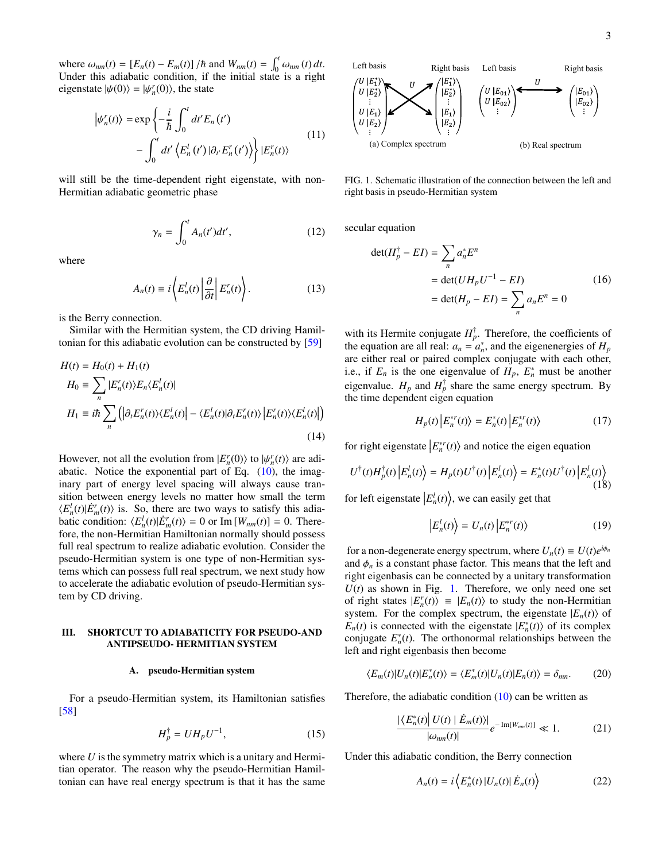where  $\omega_{nm}(t) = [E_n(t) - E_m(t)] / \hbar$  and  $W_{nm}(t) = \int_0^t \omega_{nm}(t) dt$ .<br>Under this adjabatic condition if the initial state is a right Under this adiabatic condition, if the initial state is a right eigenstate  $|\psi(0)\rangle = |\psi'_n(0)\rangle$ , the state

<span id="page-2-5"></span>
$$
\left| \psi_n^r(t) \right\rangle = \exp \left\{ -\frac{i}{\hbar} \int_0^t dt' E_n(t') - \int_0^t dt' \left\langle E_n^l(t') \right| \partial_{t'} E_n^r(t') \right\rangle \right\} |E_n^r(t) \rangle \tag{11}
$$

will still be the time-dependent right eigenstate, with non-Hermitian adiabatic geometric phase

$$
\gamma_n = \int_0^t A_n(t')dt',\qquad(12)
$$

where

$$
A_n(t) \equiv i \left\langle E_n^l(t) \left| \frac{\partial}{\partial t} \right| E_n^r(t) \right\rangle. \tag{13}
$$

is the Berry connection.

Similar with the Hermitian system, the CD driving Hamiltonian for this adiabatic evolution can be constructed by [\[59\]](#page-8-14)

$$
H(t) = H_0(t) + H_1(t)
$$
  
\n
$$
H_0 \equiv \sum_n |E_n^r(t)\rangle E_n \langle E_n^l(t)|
$$
  
\n
$$
H_1 \equiv i\hbar \sum_n \left( |\partial_t E_n^r(t)\rangle \langle E_n^l(t)| - \langle E_n^l(t)|\partial_t E_n^r(t)\rangle \langle E_n^r(t)\rangle \langle E_n^l(t)| \right)
$$
\n(14)

However, not all the evolution from  $|E_n^r(0)\rangle$  to  $|\psi_n^r(t)\rangle$  are adi-<br>abatic. Notice the exponential part of Eq. (10) the imagabatic. Notice the exponential part of Eq.  $(10)$ , the imaginary part of energy level spacing will always cause transition between energy levels no matter how small the term  $\langle E_n^l(t)|E_m^r(t)\rangle$  is. So, there are two ways to satisfy this adiabatic condition:  $\langle E_n^l(t) | \dot{E}_m^r(t) \rangle = 0$  or Im  $[W_{nm}(t)] = 0$ . Therefore, the non-Hermitian Hamiltonian normally should possess full real spectrum to realize adiabatic evolution. Consider the pseudo-Hermitian system is one type of non-Hermitian systems which can possess full real spectrum, we next study how to accelerate the adiabatic evolution of pseudo-Hermitian system by CD driving.

### <span id="page-2-0"></span>III. SHORTCUT TO ADIABATICITY FOR PSEUDO-AND ANTIPSEUDO- HERMITIAN SYSTEM

#### A. pseudo-Hermitian system

For a pseudo-Hermitian system, its Hamiltonian satisfies [\[58\]](#page-8-13)

<span id="page-2-4"></span>
$$
H_p^{\dagger} = U H_p U^{-1},\tag{15}
$$

where *U* is the symmetry matrix which is a unitary and Hermitian operator. The reason why the pseudo-Hermitian Hamiltonian can have real energy spectrum is that it has the same



<span id="page-2-1"></span>FIG. 1. Schematic illustration of the connection between the left and right basis in pseudo-Hermitian system

secular equation

$$
\det(H_p^{\dagger} - EI) = \sum_n a_n^* E^n
$$
  
= 
$$
\det(UH_pU^{-1} - EI)
$$
  
= 
$$
\det(H_p - EI) = \sum_n a_n E^n = 0
$$
 (16)

with its Hermite conjugate  $H_p^{\dagger}$ . Therefore, the coefficients of the equation are all real:  $a_n = a_n^*$ , and the eigenenergies of  $H_p$ are either real or paired complex conjugate with each other, i.e., if  $E_n$  is the one eigenvalue of  $H_p$ ,  $E_n^*$  must be another eigenvalue.  $H_p$  and  $H_p^{\dagger}$  share the same energy spectrum. By the time dependent eigen equation

$$
H_p(t) \left| E_n^{*r}(t) \right\rangle = E_n^{*}(t) \left| E_n^{*r}(t) \right\rangle \tag{17}
$$

for right eigenstate  $\left|E_n^{*r}(t)\right\rangle$  and notice the eigen equation

$$
U^{\dagger}(t)H_p^{\dagger}(t)\left|E_n^l(t)\right\rangle = H_p(t)U^{\dagger}(t)\left|E_n^l(t)\right\rangle = E_n^*(t)U^{\dagger}(t)\left|E_n^l(t)\right\rangle \tag{18}
$$

for left eigenstate  $\left| E_n^l(t) \right\rangle$ , we can easily get that

$$
\left|E_n^l(t)\right\rangle = U_n(t)\left|E_n^{*r}(t)\right\rangle \tag{19}
$$

for a non-degenerate energy spectrum, where  $U_n(t) \equiv U(t)e^{i\phi_n}$ and  $\phi_n$  is a constant phase factor. This means that the left and right eigenbasis can be connected by a unitary transformation  $U(t)$  as shown in Fig. [1.](#page-2-1) Therefore, we only need one set of right states  $|E_n^r(t)\rangle \equiv |E_n(t)\rangle$  to study the non-Hermitian system. For the complex spectrum, the eigenstate  $|E_n(t)\rangle$  of  $E_n(t)$  is connected with the eigenstate  $|E_n^*(t)\rangle$  of its complex conjugate  $E_n^*(t)$ . The orthonormal relationships between the left and right eigenbasis then become

$$
\langle E_m(t)|U_n(t)|E_n^*(t)\rangle = \langle E_m^*(t)|U_n(t)|E_n(t)\rangle = \delta_{mn}.\tag{20}
$$

Therefore, the adiabatic condition  $(10)$  can be written as

<span id="page-2-2"></span>
$$
\frac{|\left\langle E_n^*(t) \right| U(t) | \dot{E}_m(t) \rangle|}{|\omega_{nm}(t)|} e^{-\text{Im}[W_{nm}(t)]} \ll 1. \tag{21}
$$

Under this adiabatic condition, the Berry connection

<span id="page-2-3"></span>
$$
A_n(t) = i \left\langle E_n^*(t) | U_n(t) | \dot{E}_n(t) \right\rangle \tag{22}
$$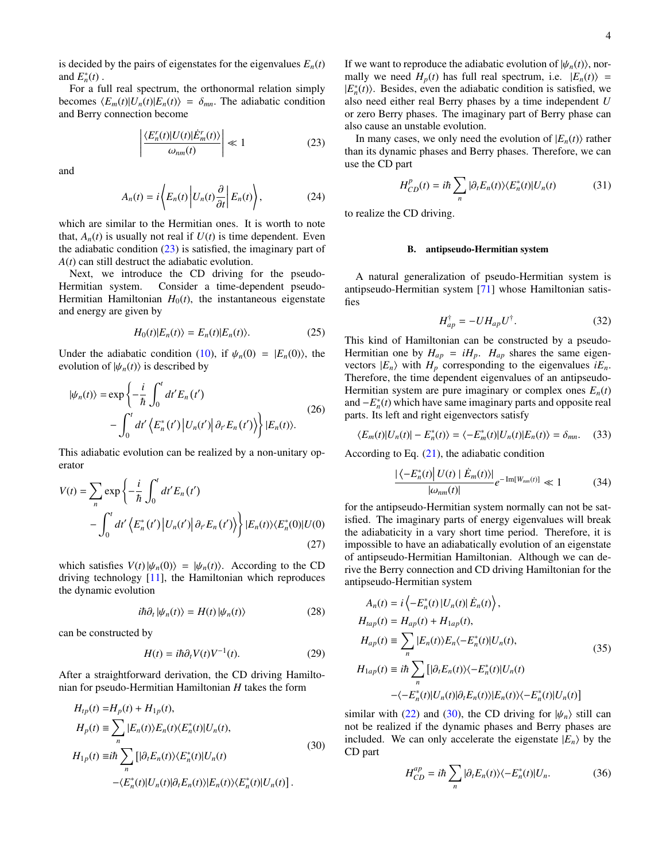is decided by the pairs of eigenstates for the eigenvalues  $E_n(t)$ and  $E_n^*(t)$ .

For a full real spectrum, the orthonormal relation simply becomes  $\langle E_m(t)|U_n(t)|E_n(t)\rangle = \delta_{mn}$ . The adiabatic condition and Berry connection become

<span id="page-3-0"></span>
$$
\left| \frac{\langle E_n^r(t) | U(t) | \dot{E}_m^r(t) \rangle}{\omega_{nm}(t)} \right| \ll 1 \tag{23}
$$

and

$$
A_n(t) = i \left\langle E_n(t) \left| U_n(t) \frac{\partial}{\partial t} \right| E_n(t) \right\rangle, \tag{24}
$$

which are similar to the Hermitian ones. It is worth to note that,  $A_n(t)$  is usually not real if  $U(t)$  is time dependent. Even the adiabatic condition  $(23)$  is satisfied, the imaginary part of *A*(*t*) can still destruct the adiabatic evolution.

Next, we introduce the CD driving for the pseudo-Hermitian system. Consider a time-dependent pseudo-Hermitian Hamiltonian  $H_0(t)$ , the instantaneous eigenstate and energy are given by

$$
H_0(t)|E_n(t)\rangle = E_n(t)|E_n(t)\rangle.
$$
 (25)

Under the adiabatic condition [\(10\)](#page-1-1), if  $\psi_n(0) = |E_n(0)\rangle$ , the evolution of  $|\psi_n(t)\rangle$  is described by

$$
|\psi_n(t)\rangle = \exp\left\{-\frac{i}{\hbar} \int_0^t dt' E_n(t')\right.-\int_0^t dt' \left\langle E_n^*(t') |U_n(t')| \partial_{t'} E_n(t')\right\rangle\Big|E_n(t)\rangle.
$$
 (26)

This adiabatic evolution can be realized by a non-unitary operator

$$
V(t) = \sum_{n} \exp\left\{-\frac{i}{\hbar} \int_{0}^{t} dt' E_{n}(t')\right.-\int_{0}^{t} dt' \left\langle E_{n}^{*}(t') \left| U_{n}(t') \right| \partial_{t'} E_{n}(t') \right\rangle \Big| E_{n}(t) \rangle \langle E_{n}^{*}(0) | U(0) \rangle
$$
\n(27)

which satisfies  $V(t) \vert \psi_n(0) \rangle = \vert \psi_n(t) \rangle$ . According to the CD driving technology [\[11\]](#page-7-6), the Hamiltonian which reproduces the dynamic evolution

$$
i\hbar \partial_t |\psi_n(t)\rangle = H(t) |\psi_n(t)\rangle \tag{28}
$$

can be constructed by

$$
H(t) = i\hbar \partial_t V(t) V^{-1}(t).
$$
 (29)

After a straightforward derivation, the CD driving Hamiltonian for pseudo-Hermitian Hamiltonian *H* takes the form

<span id="page-3-1"></span>
$$
H_{tp}(t) = H_p(t) + H_{1p}(t),
$$
  
\n
$$
H_p(t) \equiv \sum_n |E_n(t)\rangle E_n(t)\langle E_n^*(t)|U_n(t),
$$
  
\n
$$
H_{1p}(t) \equiv i\hbar \sum_n \left[|\partial_t E_n(t)\rangle \langle E_n^*(t)|U_n(t)\right]
$$
  
\n
$$
-\langle E_n^*(t)|U_n(t)|\partial_t E_n(t)\rangle \langle E_n^*(t)|U_n(t)|.
$$
\n(30)

If we want to reproduce the adiabatic evolution of  $|\psi_n(t)\rangle$ , normally we need  $H_p(t)$  has full real spectrum, i.e.  $|E_n(t)\rangle$  =  $|E_n^*(t)\rangle$ . Besides, even the adiabatic condition is satisfied, we also need either real Berry phases by a time independent *U* or zero Berry phases. The imaginary part of Berry phase can also cause an unstable evolution.

In many cases, we only need the evolution of  $|E_n(t)\rangle$  rather than its dynamic phases and Berry phases. Therefore, we can use the CD part

$$
H_{CD}^p(t) = i\hbar \sum_n |\partial_t E_n(t)\rangle \langle E_n^*(t)| U_n(t) \tag{31}
$$

to realize the CD driving.

### B. antipseudo-Hermitian system

A natural generalization of pseudo-Hermitian system is antipseudo-Hermitian system [\[71\]](#page-8-25) whose Hamiltonian satisfies

<span id="page-3-2"></span>
$$
H_{ap}^{\dagger} = -U H_{ap} U^{\dagger}.
$$
 (32)

This kind of Hamiltonian can be constructed by a pseudo-Hermitian one by  $H_{ap} = iH_p$ .  $H_{ap}$  shares the same eigenvectors  $|E_n\rangle$  with  $H_p$  corresponding to the eigenvalues  $iE_n$ . Therefore, the time dependent eigenvalues of an antipseudo-Hermitian system are pure imaginary or complex ones  $E_n(t)$ and  $-E_n^*(t)$  which have same imaginary parts and opposite real parts. Its left and right eigenvectors satisfy

$$
\langle E_m(t)|U_n(t)| - E_n^*(t) \rangle = \langle -E_m^*(t)|U_n(t)|E_n(t) \rangle = \delta_{mn}.\tag{33}
$$

According to Eq. [\(21\)](#page-2-2), the adiabatic condition

$$
\frac{\left|\left\langle -E_n^*(t) \right| U(t) \mid \dot{E}_m(t) \right\rangle\right|}{\left|\omega_{nm}(t)\right|} e^{-\operatorname{Im}[W_{nm}(t)]} \ll 1 \tag{34}
$$

for the antipseudo-Hermitian system normally can not be satisfied. The imaginary parts of energy eigenvalues will break the adiabaticity in a vary short time period. Therefore, it is impossible to have an adiabatically evolution of an eigenstate of antipseudo-Hermitian Hamiltonian. Although we can derive the Berry connection and CD driving Hamiltonian for the antipseudo-Hermitian system

<span id="page-3-3"></span>
$$
A_n(t) = i \left\langle -E_n^*(t) | U_n(t) | \dot{E}_n(t) \right\rangle,
$$
  
\n
$$
H_{tap}(t) = H_{ap}(t) + H_{lap}(t),
$$
  
\n
$$
H_{ap}(t) \equiv \sum_n |E_n(t)\rangle E_n \langle -E_n^*(t) | U_n(t),
$$
  
\n
$$
H_{lap}(t) \equiv i\hbar \sum_n \left[ |\partial_t E_n(t)\rangle \langle -E_n^*(t) | U_n(t) \right]
$$
  
\n
$$
-\langle -E_n^*(t) | U_n(t) | \partial_t E_n(t) \rangle \langle -E_n^*(t) | U_n(t) \rangle
$$
\n(35)

similar with [\(22\)](#page-2-3) and [\(30\)](#page-3-1), the CD driving for  $|\psi_n\rangle$  still can not be realized if the dynamic phases and Berry phases are included. We can only accelerate the eigenstate  $|E_n\rangle$  by the CD part

$$
H_{CD}^{ap} = i\hbar \sum_{n} |\partial_{t} E_{n}(t)\rangle\langle -E_{n}^{*}(t)|U_{n}.
$$
 (36)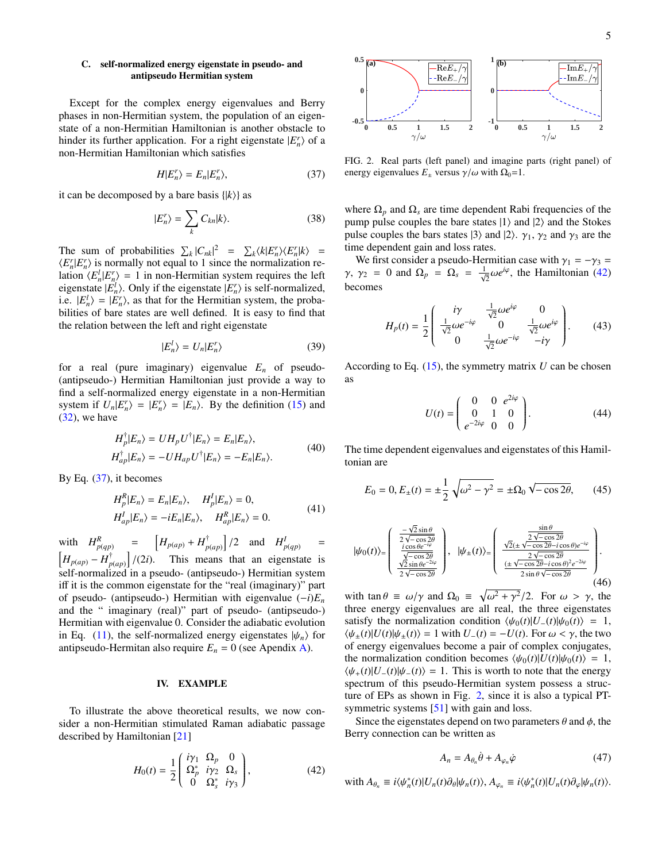## C. self-normalized energy eigenstate in pseudo- and antipseudo Hermitian system

Except for the complex energy eigenvalues and Berry phases in non-Hermitian system, the population of an eigenstate of a non-Hermitian Hamiltonian is another obstacle to hinder its further application. For a right eigenstate  $|E_n^r\rangle$  of a non-Hermitian Hamiltonian which satisfies

<span id="page-4-1"></span>
$$
H|E_n^r\rangle = E_n|E_n^r\rangle,\tag{37}
$$

it can be decomposed by a bare basis  $\{ |k\rangle \}$  as

$$
|E_n^r\rangle = \sum_k C_{kn}|k\rangle.
$$
 (38)

The sum of probabilities  $\sum_{k} |C_{nk}|^2 = \sum_{k} \langle k|E_{n}^r \rangle \langle E_{n}^r |k \rangle =$  $\langle E_n^r | E_n^r \rangle$  is normally not equal to 1 since the normalization relation  $\langle E_n^l | E_n^r \rangle = 1$  in non-Hermitian system requires the left eigenstate  $|E_n^l\rangle$ . Only if the eigenstate  $|E_n^r\rangle$  is self-normalized, i.e.  $|E_n^l\rangle = |E_n^r\rangle$ , as that for the Hermitian system, the probabilities of bare states are well defined. It is easy to find that the relation between the left and right eigenstate

$$
|E_n^l\rangle = U_n|E_n^r\rangle \tag{39}
$$

for a real (pure imaginary) eigenvalue  $E_n$  of pseudo-(antipseudo-) Hermitian Hamiltonian just provide a way to find a self-normalized energy eigenstate in a non-Hermitian system if  $U_n|E_n^r\rangle = |E_n^r\rangle = |E_n\rangle$ . By the definition [\(15\)](#page-2-4) and [\(32\)](#page-3-2), we have

$$
H_p^{\dagger} |E_n\rangle = U H_p U^{\dagger} |E_n\rangle = E_n |E_n\rangle,
$$
  
\n
$$
H_{ap}^{\dagger} |E_n\rangle = -U H_{ap} U^{\dagger} |E_n\rangle = -E_n |E_n\rangle.
$$
\n(40)

<span id="page-4-4"></span>By Eq.  $(37)$ , it becomes

$$
H_p^R|E_n\rangle = E_n|E_n\rangle, \quad H_p^I|E_n\rangle = 0,
$$
  
\n
$$
H_{ap}^I|E_n\rangle = -iE_n|E_n\rangle, \quad H_{ap}^R|E_n\rangle = 0.
$$
\n(41)

with  $H_{p(qp)}^R = \left[H_{p(qp)} + H_p^{\dagger}\right]$  $\begin{bmatrix} \n\dot{r} \\
p(ap) \n\end{bmatrix}$  /2 and  $H^I_{p(qp)}$ =  $H_{p(ap)} - H_p^{\dagger}$  $\int_{p(a)p}^{t}$  /(2*i*). This means that an eigenstate is self-normalized in a pseudo- (antipseudo-) Hermitian system iff it is the common eigenstate for the "real (imaginary)" part of pseudo- (antipseudo-) Hermitian with eigenvalue (−*i*)*E<sup>n</sup>* and the " imaginary (real)" part of pseudo- (antipseudo-) Hermitian with eigenvalue 0. Consider the adiabatic evolution in Eq. [\(11\)](#page-2-5), the self-normalized energy eigenstates  $|\psi_n\rangle$  for antipseudo-Hermitan also require  $E_n = 0$  (see Apendix [A\)](#page-7-16).

## <span id="page-4-0"></span>IV. EXAMPLE

To illustrate the above theoretical results, we now consider a non-Hermitian stimulated Raman adiabatic passage described by Hamiltonian [\[21\]](#page-7-17)

<span id="page-4-2"></span>
$$
H_0(t) = \frac{1}{2} \begin{pmatrix} i\gamma_1 & \Omega_p & 0\\ \Omega_p^* & i\gamma_2 & \Omega_s\\ 0 & \Omega_s^* & i\gamma_3 \end{pmatrix},
$$
(42)



<span id="page-4-3"></span>FIG. 2. Real parts (left panel) and imagine parts (right panel) of energy eigenvalues  $E_{\pm}$  versus  $\gamma/\omega$  with  $\Omega_0=1$ .

where  $\Omega_p$  and  $\Omega_s$  are time dependent Rabi frequencies of the pump pulse couples the bare states  $|1\rangle$  and  $|2\rangle$  and the Stokes pulse couples the bars states  $|3\rangle$  and  $|2\rangle$ .  $\gamma_1$ ,  $\gamma_2$  and  $\gamma_3$  are the time dependent gain and loss rates.

We first consider a pseudo-Hermitian case with  $\gamma_1 = -\gamma_3 =$ *γ*, *γ*<sub>2</sub> = 0 and  $\Omega_p = \Omega_s = \frac{1}{\sqrt{2}} \omega e^{i\varphi}$ , the Hamiltonian [\(42\)](#page-4-2) becomes

$$
H_p(t) = \frac{1}{2} \begin{pmatrix} i\gamma & \frac{1}{\sqrt{2}}\omega e^{i\varphi} & 0\\ \frac{1}{\sqrt{2}}\omega e^{-i\varphi} & 0 & \frac{1}{\sqrt{2}}\omega e^{i\varphi} \\ 0 & \frac{1}{\sqrt{2}}\omega e^{-i\varphi} & -i\gamma \end{pmatrix} . \tag{43}
$$

According to Eq.  $(15)$ , the symmetry matrix *U* can be chosen as

$$
U(t) = \begin{pmatrix} 0 & 0 & e^{2i\varphi} \\ 0 & 1 & 0 \\ e^{-2i\varphi} & 0 & 0 \end{pmatrix}.
$$
 (44)

The time dependent eigenvalues and eigenstates of this Hamiltonian are

$$
E_0 = 0, E_{\pm}(t) = \pm \frac{1}{2} \sqrt{\omega^2 - \gamma^2} = \pm \Omega_0 \sqrt{-\cos 2\theta}, \qquad (45)
$$

$$
|\psi_0(t)\rangle = \begin{pmatrix} \frac{-\sqrt{2}\sin\theta}{2\sqrt{-\cos 2\theta}} \\ \frac{i\cos\theta e^{-i\varphi}}{\sqrt{-\cos 2\theta}} \\ \frac{\sqrt{2}\sin\theta e^{-2i\varphi}}{2\sqrt{-\cos 2\theta}} \end{pmatrix}, \quad |\psi_{\pm}(t)\rangle = \begin{pmatrix} \frac{\sin\theta}{2\sqrt{-\cos 2\theta}} \\ \frac{\sqrt{2}(\pm\sqrt{-\cos 2\theta} - i\cos\theta)e^{-i\varphi}}{2\sqrt{-\cos 2\theta}} \\ \frac{(\pm\sqrt{-\cos 2\theta} - i\cos\theta)^2e^{-2i\varphi}}{2\sin\theta\sqrt{-\cos 2\theta}} \end{pmatrix}.
$$
\n
$$
(46)
$$

with  $\tan \theta \equiv \omega / \gamma$  and  $\Omega_0 \equiv \sqrt{\omega^2 + \gamma^2}/2$ . For  $\omega > \gamma$ , the three energy eigenvalues are all real, the three eigenstates satisfy the normalization condition  $\langle \psi_0(t)|U_-(t)|\psi_0(t)\rangle = 1$ ,  $\langle \psi_+(t)|U(t)|\psi_+(t)\rangle = 1$  with  $U_-(t) = -U(t)$ . For  $\omega < \gamma$ , the two of energy eigenvalues become a pair of complex conjugates, the normalization condition becomes  $\langle \psi_0(t)|U(t)|\psi_0(t)\rangle = 1$ ,  $\langle \psi_+(t)|U_-(t)|\psi_-(t)\rangle = 1$ . This is worth to note that the energy spectrum of this pseudo-Hermitian system possess a structure of EPs as shown in Fig. [2,](#page-4-3) since it is also a typical PT-symmetric systems [\[51\]](#page-8-26) with gain and loss.

Since the eigenstates depend on two parameters  $\theta$  and  $\phi$ , the Berry connection can be written as

$$
A_n = A_{\theta_n} \dot{\theta} + A_{\varphi_n} \dot{\varphi}
$$
 (47)

with 
$$
A_{\theta_n} \equiv i \langle \psi_n^*(t) | U_n(t) \partial_{\theta} | \psi_n(t) \rangle
$$
,  $A_{\varphi_n} \equiv i \langle \psi_n^*(t) | U_n(t) \partial_{\varphi} | \psi_n(t) \rangle$ .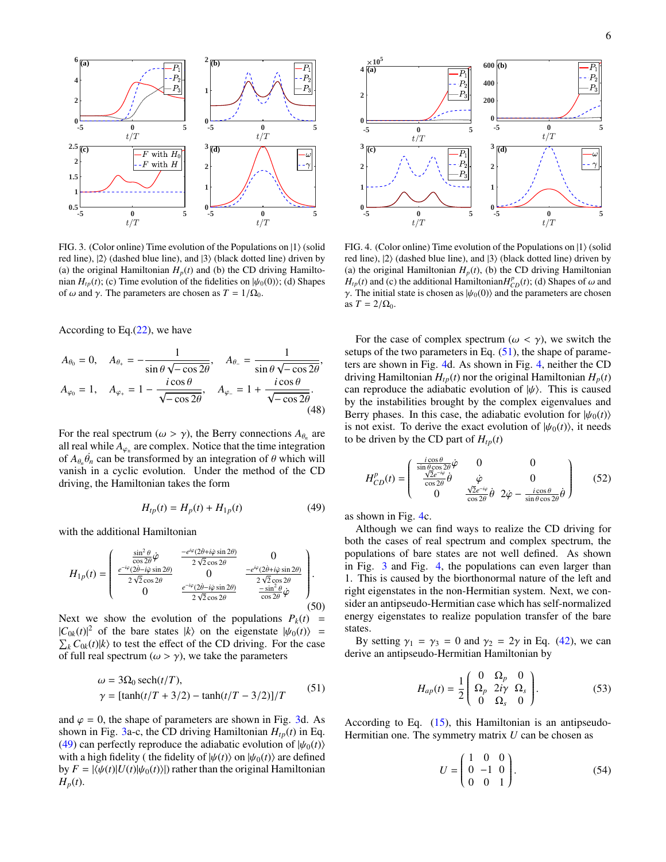

<span id="page-5-0"></span>FIG. 3. (Color online) Time evolution of the Populations on  $|1\rangle$  (solid red line),  $|2\rangle$  (dashed blue line), and  $|3\rangle$  (black dotted line) driven by (a) the original Hamiltonian  $H_p(t)$  and (b) the CD driving Hamiltonian  $H_{tp}(t)$ ; (c) Time evolution of the fidelities on  $|\psi_0(0)\rangle$ ; (d) Shapes of ω and γ. The parameters are chosen as  $T = 1/\Omega_0$ .

According to Eq. $(22)$ , we have

$$
A_{\theta_0} = 0, \quad A_{\theta_+} = -\frac{1}{\sin \theta \sqrt{-\cos 2\theta}}, \quad A_{\theta_-} = \frac{1}{\sin \theta \sqrt{-\cos 2\theta}},
$$
  

$$
A_{\varphi_0} = 1, \quad A_{\varphi_+} = 1 - \frac{i \cos \theta}{\sqrt{-\cos 2\theta}}, \quad A_{\varphi_-} = 1 + \frac{i \cos \theta}{\sqrt{-\cos 2\theta}}.
$$
  
(48)

For the real spectrum  $(\omega > \gamma)$ , the Berry connections  $A_{\theta_n}$  are complex. Notice that the time integration all real while  $A_{\varphi_{\pm}}$  are complex. Notice that the time integration<br>of  $A_{\perp}$  degree to transformed by an integration of  $\theta$  which will of  $A_{\theta_n} \dot{\theta}_n$  can be transformed by an integration of  $\theta$  which will vanish in a cyclic evolution. Under the method of the CD vanish in a cyclic evolution. Under the method of the CD driving, the Hamiltonian takes the form

<span id="page-5-1"></span>
$$
H_{tp}(t) = H_p(t) + H_{1p}(t)
$$
\n(49)

with the additional Hamiltonian

$$
H_{1p}(t) = \begin{pmatrix} \frac{\sin^2 \theta}{\cos 2\theta} \dot{\varphi} & \frac{-e^{i\varphi}(2\dot{\theta} + i\dot{\varphi}\sin 2\theta)}{2\sqrt{2}\cos 2\theta} & 0\\ \frac{e^{-i\varphi}(2\dot{\theta} - i\dot{\varphi}\sin 2\theta)}{2\sqrt{2}\cos 2\theta} & 0 & \frac{-e^{i\varphi}(2\dot{\theta} + i\dot{\varphi}\sin 2\theta)}{2\sqrt{2}\cos 2\theta} \\ 0 & \frac{e^{-i\varphi}(2\dot{\theta} - i\dot{\varphi}\sin 2\theta)}{2\sqrt{2}\cos 2\theta} & \frac{-\sin^2 \theta}{\cos 2\theta} \dot{\varphi} \end{pmatrix}.
$$
(50)

Next we show the evolution of the populations  $P_k(t)$  =  $|C_{0k}(t)|^2$  of the bare states  $|k\rangle$  on the eigenstate  $|\psi_0(t)\rangle = \sum_k C_{0k}(t)|k\rangle$  to test the effect of the CD driving. For the case  $\sum_{k} C_{0k}(t) \, |k\rangle$  to test the effect of the CD driving. For the case of full real spectrum ( $\omega > \gamma$ ), we take the parameters

$$
ω = 3Ω0 sech(t/T),
$$
  
\n $γ = [tanh(t/T + 3/2) - tanh(t/T - 3/2)]/T$  (51)

<span id="page-5-2"></span>and  $\varphi = 0$ , the shape of parameters are shown in Fig. [3d](#page-5-0). As shown in Fig. [3a](#page-5-0)-c, the CD driving Hamiltonian  $H_{tp}(t)$  in Eq. [\(49\)](#page-5-1) can perfectly reproduce the adiabatic evolution of  $|\psi_0(t)\rangle$ with a high fidelity ( the fidelity of  $|\psi(t)\rangle$  on  $|\psi_0(t)\rangle$  are defined by  $F = |\langle \psi(t) | U(t) | \psi_0(t) \rangle|$  rather than the original Hamiltonian  $H_p(t)$ .



<span id="page-5-3"></span>FIG. 4. (Color online) Time evolution of the Populations on  $|1\rangle$  (solid red line),  $|2\rangle$  (dashed blue line), and  $|3\rangle$  (black dotted line) driven by (a) the original Hamiltonian  $H_p(t)$ , (b) the CD driving Hamiltonian  $H_{tp}(t)$  and (c) the additional Hamiltonian $H_{CD}^p(t)$ ; (d) Shapes of  $\omega$  and  $\gamma$ . The initial state is chosen as  $h/e_0(0)$  and the parameters are chosen γ. The initial state is chosen as  $|\psi_0(0)\rangle$  and the parameters are chosen as  $T = 2/\Omega_0$ .

For the case of complex spectrum ( $\omega < \gamma$ ), we switch the setups of the two parameters in Eq.  $(51)$ , the shape of parameters are shown in Fig. [4d](#page-5-3). As shown in Fig. [4,](#page-5-3) neither the CD driving Hamiltonian  $H_{tp}(t)$  nor the original Hamiltonian  $H_p(t)$ can reproduce the adiabatic evolution of  $|\psi\rangle$ . This is caused by the instabilities brought by the complex eigenvalues and Berry phases. In this case, the adiabatic evolution for  $|\psi_0(t)\rangle$ is not exist. To derive the exact evolution of  $|\psi_0(t)\rangle$ , it needs to be driven by the CD part of  $H_{tp}(t)$ 

$$
H_{CD}^{p}(t) = \begin{pmatrix} \frac{i\cos\theta}{\sin\theta\cos 2\theta} \dot{\varphi} & 0 & 0\\ \frac{\sqrt{2}e^{-i\varphi}}{\cos 2\theta} \dot{\theta} & \dot{\varphi} & 0\\ 0 & \frac{\sqrt{2}e^{-i\varphi}}{\cos 2\theta} \dot{\theta} & 2\dot{\varphi} - \frac{i\cos\theta}{\sin\theta\cos 2\theta} \dot{\theta} \end{pmatrix}
$$
(52)

as shown in Fig. [4c](#page-5-3).

Although we can find ways to realize the CD driving for both the cases of real spectrum and complex spectrum, the populations of bare states are not well defined. As shown in Fig. [3](#page-5-0) and Fig. [4,](#page-5-3) the populations can even larger than 1. This is caused by the biorthonormal nature of the left and right eigenstates in the non-Hermitian system. Next, we consider an antipseudo-Hermitian case which has self-normalized energy eigenstates to realize population transfer of the bare states.

By setting  $\gamma_1 = \gamma_3 = 0$  and  $\gamma_2 = 2\gamma$  in Eq. [\(42\)](#page-4-2), we can derive an antipseudo-Hermitian Hamiltonian by

$$
H_{ap}(t) = \frac{1}{2} \begin{pmatrix} 0 & \Omega_p & 0 \\ \Omega_p & 2i\gamma & \Omega_s \\ 0 & \Omega_s & 0 \end{pmatrix}.
$$
 (53)

According to Eq. [\(15\)](#page-2-4), this Hamiltonian is an antipseudo-Hermitian one. The symmetry matrix *U* can be chosen as

$$
U = \begin{pmatrix} 1 & 0 & 0 \\ 0 & -1 & 0 \\ 0 & 0 & 1 \end{pmatrix}.
$$
 (54)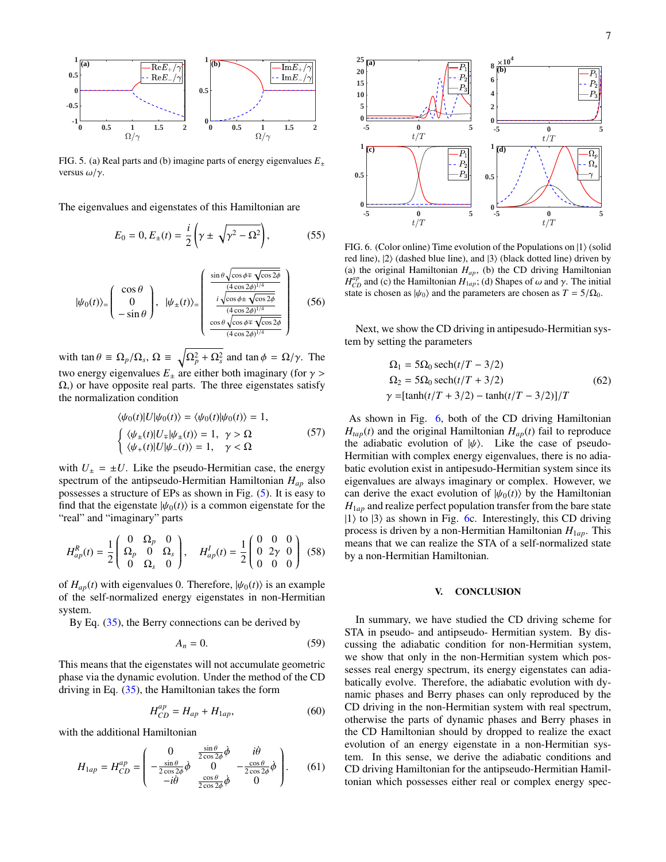

<span id="page-6-1"></span>FIG. 5. (a) Real parts and (b) imagine parts of energy eigenvalues  $E_{\pm}$ versus  $\omega/\nu$ .

The eigenvalues and eigenstates of this Hamiltonian are

$$
E_0 = 0, E_{\pm}(t) = \frac{i}{2} \left( \gamma \pm \sqrt{\gamma^2 - \Omega^2} \right),
$$
 (55)

$$
|\psi_0(t)\rangle = \begin{pmatrix} \cos\theta \\ 0 \\ -\sin\theta \end{pmatrix}, \quad |\psi_{\pm}(t)\rangle = \begin{pmatrix} \frac{\sin\theta\sqrt{\cos\phi \mp \sqrt{\cos 2\phi}}}{\frac{(4\cos 2\phi)^{1/4}}{\cos 2\phi}} \\ \frac{i\sqrt{\cos\phi \pm \sqrt{\cos 2\phi}}}{\frac{(4\cos 2\phi)^{1/4}}{\cos 2\phi}} \\ \frac{\cos\theta\sqrt{\cos\phi \mp \sqrt{\cos 2\phi}}}{(4\cos 2\phi)^{1/4}} \end{pmatrix}
$$
(56)

with  $\tan \theta \equiv \Omega_p / \Omega_s$ ,  $\Omega \equiv \sqrt{\Omega_p^2 + \Omega_s^2}$  and  $\tan \phi = \Omega / \gamma$ . The two energy eigenvalues  $E_{+}$  are either both imaginary (for  $\gamma$ ) Ω,) or have opposite real parts. The three eigenstates satisfy the normalization condition

$$
\langle \psi_0(t) | U | \psi_0(t) \rangle = \langle \psi_0(t) | \psi_0(t) \rangle = 1,
$$
  

$$
\begin{cases} \langle \psi_{\pm}(t) | U_{\mp} | \psi_{\pm}(t) \rangle = 1, & \gamma > \Omega \\ \langle \psi_{+}(t) | U | \psi_{-}(t) \rangle = 1, & \gamma < \Omega \end{cases}
$$
(57)

with  $U_{\pm} = \pm U$ . Like the pseudo-Hermitian case, the energy spectrum of the antipseudo-Hermitian Hamiltonian *Hap* also possesses a structure of EPs as shown in Fig. [\(5\)](#page-6-1). It is easy to find that the eigenstate  $|\psi_0(t)\rangle$  is a common eigenstate for the "real" and "imaginary" parts

$$
H_{ap}^{R}(t) = \frac{1}{2} \begin{pmatrix} 0 & \Omega_p & 0 \\ \Omega_p & 0 & \Omega_s \\ 0 & \Omega_s & 0 \end{pmatrix}, \quad H_{ap}^{I}(t) = \frac{1}{2} \begin{pmatrix} 0 & 0 & 0 \\ 0 & 2\gamma & 0 \\ 0 & 0 & 0 \end{pmatrix}
$$
 (58)

of  $H_{ap}(t)$  with eigenvalues 0. Therefore,  $|\psi_0(t)\rangle$  is an example of the self-normalized energy eigenstates in non-Hermitian system.

By Eq.  $(35)$ , the Berry connections can be derived by

$$
A_n = 0.\t\t(59)
$$

This means that the eigenstates will not accumulate geometric phase via the dynamic evolution. Under the method of the CD driving in Eq. [\(35\)](#page-3-3), the Hamiltonian takes the form

$$
H_{CD}^{ap} = H_{ap} + H_{1ap}, \t\t(60)
$$

with the additional Hamiltonian

$$
H_{1ap} = H_{CD}^{ap} = \begin{pmatrix} 0 & \frac{\sin \theta}{2 \cos 2\phi} \dot{\phi} & i\dot{\theta} \\ -\frac{\sin \theta}{2 \cos 2\phi} \dot{\phi} & 0 & -\frac{\cos \theta}{2 \cos 2\phi} \dot{\phi} \\ -i\dot{\theta} & \frac{\cos \theta}{2 \cos 2\phi} \dot{\phi} & 0 \end{pmatrix}.
$$
 (61)



<span id="page-6-2"></span>FIG. 6. (Color online) Time evolution of the Populations on  $|1\rangle$  (solid red line),  $|2\rangle$  (dashed blue line), and  $|3\rangle$  (black dotted line) driven by (a) the original Hamiltonian  $H_{ap}$ , (b) the CD driving Hamiltonian  $\hat{H}_{\alpha p}^{ap}$  and (c) the Hamiltonian  $H_{1ap}$ ; (d) Shapes of  $\omega$  and  $\gamma$ . The initial state is chosen as  $h_{\alpha p}$  and the parameters are chosen as  $T = 5/Q_0$ . state is chosen as  $|\psi_0\rangle$  and the parameters are chosen as  $T = 5/\Omega_0$ .

Next, we show the CD driving in antipesudo-Hermitian system by setting the parameters

$$
\Omega_1 = 5\Omega_0 \operatorname{sech}(t/T - 3/2)
$$
  
\n
$$
\Omega_2 = 5\Omega_0 \operatorname{sech}(t/T + 3/2)
$$
  
\n
$$
\gamma = [\tanh(t/T + 3/2) - \tanh(t/T - 3/2)]/T
$$
\n(62)

As shown in Fig. [6,](#page-6-2) both of the CD driving Hamiltonian  $H_{tap}(t)$  and the original Hamiltonian  $H_{ap}(t)$  fail to reproduce the adiabatic evolution of  $|\psi\rangle$ . Like the case of pseudo-Hermitian with complex energy eigenvalues, there is no adiabatic evolution exist in antipesudo-Hermitian system since its eigenvalues are always imaginary or complex. However, we can derive the exact evolution of  $|\psi_0(t)\rangle$  by the Hamiltonian  $H_{1ap}$  and realize perfect population transfer from the bare state  $|1\rangle$  to  $|3\rangle$  as shown in Fig. [6c](#page-6-2). Interestingly, this CD driving process is driven by a non-Hermitian Hamiltonian  $H_{1ap}$ . This means that we can realize the STA of a self-normalized state by a non-Hermitian Hamiltonian.

## <span id="page-6-0"></span>V. CONCLUSION

In summary, we have studied the CD driving scheme for STA in pseudo- and antipseudo- Hermitian system. By discussing the adiabatic condition for non-Hermitian system, we show that only in the non-Hermitian system which possesses real energy spectrum, its energy eigenstates can adiabatically evolve. Therefore, the adiabatic evolution with dynamic phases and Berry phases can only reproduced by the CD driving in the non-Hermitian system with real spectrum, otherwise the parts of dynamic phases and Berry phases in the CD Hamiltonian should by dropped to realize the exact evolution of an energy eigenstate in a non-Hermitian system. In this sense, we derive the adiabatic conditions and CD driving Hamiltonian for the antipseudo-Hermitian Hamiltonian which possesses either real or complex energy spec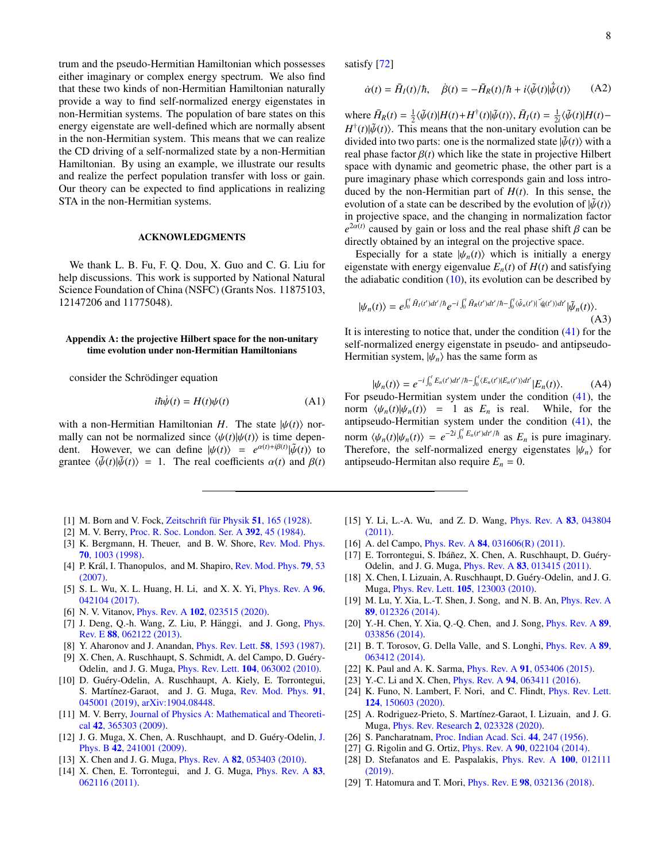trum and the pseudo-Hermitian Hamiltonian which possesses either imaginary or complex energy spectrum. We also find that these two kinds of non-Hermitian Hamiltonian naturally provide a way to find self-normalized energy eigenstates in non-Hermitian systems. The population of bare states on this energy eigenstate are well-defined which are normally absent in the non-Hermitian system. This means that we can realize the CD driving of a self-normalized state by a non-Hermitian Hamiltonian. By using an example, we illustrate our results and realize the perfect population transfer with loss or gain. Our theory can be expected to find applications in realizing STA in the non-Hermitian systems.

### ACKNOWLEDGMENTS

We thank L. B. Fu, F. Q. Dou, X. Guo and C. G. Liu for help discussions. This work is supported by National Natural Science Foundation of China (NSFC) (Grants Nos. 11875103, 12147206 and 11775048).

## <span id="page-7-16"></span>Appendix A: the projective Hilbert space for the non-unitary time evolution under non-Hermitian Hamiltonians

consider the Schrödinger equation

$$
i\hbar\dot{\psi}(t) = H(t)\psi(t) \tag{A1}
$$

with a non-Hermitian Hamiltonian *H*. The state  $|\psi(t)\rangle$  normally can not be normalized since  $\langle \psi(t)|\psi(t)\rangle$  is time dependent. However, we can define  $|\psi(t)\rangle = e^{\alpha(t)+i\beta(t)}|\tilde{\psi}(t)\rangle$  to grantee  $\langle \tilde{\psi}(t)|\tilde{\psi}(t)\rangle = 1$ . The real coefficients  $\alpha(t)$  and  $\beta(t)$ . grantee  $\langle \tilde{\psi}(t)|\tilde{\psi}(t)\rangle = 1$ . The real coefficients  $\alpha(t)$  and  $\beta(t)$ 

- <span id="page-7-0"></span>[1] M. Born and V. Fock, Zeitschrift für Physik  $51$ , 165 (1928).
- <span id="page-7-1"></span>[2] M. V. Berry, [Proc. R. Soc. London. Ser. A](http://dx.doi.org/10.1098/rspa.1984.0023) 392, 45 (1984).
- <span id="page-7-2"></span>[3] K. Bergmann, H. Theuer, and B. W. Shore, [Rev. Mod. Phys.](http://dx.doi.org/10.1103/RevModPhys.70.1003) 70[, 1003 \(1998\).](http://dx.doi.org/10.1103/RevModPhys.70.1003)
- [4] P. Král, I. Thanopulos, and M. Shapiro, [Rev. Mod. Phys.](http://dx.doi.org/10.1103/RevModPhys.79.53) 79, 53 [\(2007\).](http://dx.doi.org/10.1103/RevModPhys.79.53)
- [5] S. L. Wu, X. L. Huang, H. Li, and X. X. Yi, *[Phys. Rev. A](http://dx.doi.org/ 10.1103/PhysRevA.96.042104)* **96**, [042104 \(2017\).](http://dx.doi.org/ 10.1103/PhysRevA.96.042104)
- [6] N. V. Vitanov, *Phys. Rev. A* **102**[, 023515 \(2020\).](http://dx.doi.org/10.1103/PhysRevA.102.023515)
- [7] J. Deng, Q.-h. Wang, Z. Liu, P. Hänggi, and J. Gong, *[Phys.](http://dx.doi.org/ 10.1103/PhysRevE.88.062122)* Rev. E 88[, 062122 \(2013\).](http://dx.doi.org/ 10.1103/PhysRevE.88.062122)
- <span id="page-7-3"></span>[8] Y. Aharonov and J. Anandan, *[Phys. Rev. Lett.](http://dx.doi.org/10.1103/PhysRevLett.58.1593)* **58**, 1593 (1987).
- <span id="page-7-4"></span>[9] X. Chen, A. Ruschhaupt, S. Schmidt, A. del Campo, D. Guéry-Odelin, and J. G. Muga, Phys. Rev. Lett. 104[, 063002 \(2010\).](http://dx.doi.org/ 10.1103/PhysRevLett.104.063002)
- <span id="page-7-5"></span>[10] D. Guéry-Odelin, A. Ruschhaupt, A. Kiely, E. Torrontegui, S. Martínez-Garaot, and J. G. Muga, [Rev. Mod. Phys.](http://dx.doi.org/10.1103/revmodphys.91.045001) 91, [045001 \(2019\),](http://dx.doi.org/10.1103/revmodphys.91.045001) [arXiv:1904.08448.](http://arxiv.org/abs/1904.08448)
- <span id="page-7-6"></span>[11] M. V. Berry, [Journal of Physics A: Mathematical and Theoreti](http://dx.doi.org/10.1088/1751-8113/42/36/365303)cal 42[, 365303 \(2009\).](http://dx.doi.org/10.1088/1751-8113/42/36/365303)
- [12] [J.](http://dx.doi.org/10.1088/0953-4075/42/24/241001) G. Muga, X. Chen, A. Ruschhaupt, and D. Guéry-Odelin, J. Phys. B 42[, 241001 \(2009\).](http://dx.doi.org/10.1088/0953-4075/42/24/241001)
- <span id="page-7-15"></span>[13] X. Chen and J. G. Muga, *Phys. Rev. A* **82**[, 053403 \(2010\).](http://dx.doi.org/10.1103/PhysRevA.82.053403)
- [14] X. Chen, E. Torrontegui, and J. G. Muga, *[Phys. Rev. A](http://dx.doi.org/10.1103/PhysRevA.83.062116)* 83, [062116 \(2011\).](http://dx.doi.org/10.1103/PhysRevA.83.062116)

satisfy [\[72\]](#page-8-27)

$$
\dot{\alpha}(t) = \bar{H}_I(t)/\hbar, \quad \dot{\beta}(t) = -\bar{H}_R(t)/\hbar + i\langle \tilde{\psi}(t)|\dot{\tilde{\psi}}(t)\rangle \tag{A2}
$$

where  $\overline{H}_R(t) = \frac{1}{2} \langle \tilde{\psi}(t) | H(t) + H^{\dagger}(t) | \tilde{\psi}(t) \rangle$ ,  $\overline{H}_I(t) = \frac{1}{2i} \langle \tilde{\psi}(t) | H(t) - H^{\dagger}(t) | \tilde{\psi}(t) \rangle$ . This means that the non-unitary evolution can be  $H^{\dagger}(t)$ | $\tilde{\psi}(t)$ ). This means that the non-unitary evolution can be divided into two parts: one is the normalized state  $\tilde{w}(t)$ ) with a divided into two parts: one is the normalized state  $|\tilde{\psi}(t)\rangle$  with a real phase factor  $\beta(t)$  which like the state in projective Hilbert space with dynamic and geometric phase, the other part is a pure imaginary phase which corresponds gain and loss introduced by the non-Hermitian part of  $H(t)$ . In this sense, the evolution of a state can be described by the evolution of  $|\tilde{\psi}(t)\rangle$ in projective space, and the changing in normalization factor  $e^{2\alpha(t)}$  caused by gain or loss and the real phase shift  $\beta$  can be directly obtained by an integral on the projective space directly obtained by an integral on the projective space.

Especially for a state  $|\psi_n(t)\rangle$  which is initially a energy eigenstate with energy eigenvalue  $E_n(t)$  of  $H(t)$  and satisfying the adiabatic condition  $(10)$ , its evolution can be described by

$$
|\psi_n(t)\rangle = e^{\int_0^t \tilde{H}_I(t')dt'/\hbar} e^{-i\int_0^t \tilde{H}_R(t')dt'/\hbar - \int_0^t \langle \tilde{\psi}_n(t')| \tilde{\psi}_n(t')\rangle dt'} |\tilde{\psi}_n(t)\rangle.
$$
\n(A3)

It is interesting to notice that, under the condition [\(41\)](#page-4-4) for the self-normalized energy eigenstate in pseudo- and antipseudo-Hermitian system,  $|\psi_n\rangle$  has the same form as

$$
\psi_n(t)\rangle = e^{-i\int_0^t E_n(t')dt'/\hbar - \int_0^t \langle E_n(t')|E_n(t')\rangle dt'}|E_n(t)\rangle.
$$
 (A4)

 $|\psi_n(t)\rangle = e^{-i\int_0^t E_n(t')dt'/\hbar - \int_0^t \langle E_n(t')\rangle dt'} |E_n(t)\rangle.$  (A4)<br>For pseudo-Hermitian system under the condition [\(41\)](#page-4-4), the norm  $\langle \psi_n(t) | \psi_n(t) \rangle = 1$  as  $E_n$  is real. While, for the antipseudo-Hermitian system under the condition [\(41\)](#page-4-4), the norm  $\langle \psi_n(t) | \psi_n(t) \rangle = e^{-2i \int_0^t E_n(t') dt'/\hbar}$  as  $E_n$  is pure imaginary.<br>Therefore the self-normalized energy eigenstates  $|\psi_n\rangle$  for Therefore, the self-normalized energy eigenstates  $|\psi_n\rangle$  for antipseudo-Hermitan also require  $E_n = 0$ .

- [15] Y. Li, L.-A. Wu, and Z. D. Wang, *[Phys. Rev. A](http://dx.doi.org/10.1103/PhysRevA.83.043804)* 83, 043804 [\(2011\).](http://dx.doi.org/10.1103/PhysRevA.83.043804)
- [16] A. del Campo, *Phys. Rev. A* **84**, 031606(*R*) (2011).
- [17] E. Torrontegui, S. Ibáñez, X. Chen, A. Ruschhaupt, D. Guéry-Odelin, and J. G. Muga, Phys. Rev. A 83[, 013415 \(2011\).](http://dx.doi.org/ 10.1103/PhysRevA.83.013415)
- <span id="page-7-10"></span>[18] X. Chen, I. Lizuain, A. Ruschhaupt, D. Guéry-Odelin, and J. G. Muga, Phys. Rev. Lett. 105[, 123003 \(2010\).](http://dx.doi.org/ 10.1103/PhysRevLett.105.123003)
- [19] M. Lu, Y. Xia, L.-T. Shen, J. Song, and N. B. An, [Phys. Rev. A](http://dx.doi.org/ 10.1103/PhysRevA.89.012326) 89[, 012326 \(2014\).](http://dx.doi.org/ 10.1103/PhysRevA.89.012326)
- [20] Y.-H. Chen, Y. Xia, Q.-Q. Chen, and J. Song, *[Phys. Rev. A](http://dx.doi.org/ 10.1103/PhysRevA.89.033856)* 89, [033856 \(2014\).](http://dx.doi.org/ 10.1103/PhysRevA.89.033856)
- <span id="page-7-17"></span>[21] B. T. Torosov, G. Della Valle, and S. Longhi, *[Phys. Rev. A](http://dx.doi.org/10.1103/PhysRevA.89.063412)* 89, [063412 \(2014\).](http://dx.doi.org/10.1103/PhysRevA.89.063412)
- [22] K. Paul and A. K. Sarma, *Phys. Rev. A* **91**[, 053406 \(2015\).](http://dx.doi.org/10.1103/PhysRevA.91.053406)
- <span id="page-7-7"></span>[23] Y.-C. Li and X. Chen, *Phys. Rev. A* **94**[, 063411 \(2016\).](http://dx.doi.org/10.1103/PhysRevA.94.063411)
- <span id="page-7-8"></span>[24] K. Funo, N. Lambert, F. Nori, and C. Flindt, *[Phys. Rev. Lett.](http://dx.doi.org/ 10.1103/PhysRevLett.124.150603)* 124[, 150603 \(2020\).](http://dx.doi.org/ 10.1103/PhysRevLett.124.150603)
- <span id="page-7-9"></span>[25] A. Rodriguez-Prieto, S. Martínez-Garaot, I. Lizuain, and J. G. Muga, [Phys. Rev. Research](http://dx.doi.org/10.1103/PhysRevResearch.2.023328) 2, 023328 (2020).
- <span id="page-7-11"></span>[26] S. Pancharatnam, [Proc. Indian Acad. Sci.](http://dx.doi.org/10.1007/BF03046050) 44, 247 (1956).
- <span id="page-7-12"></span>[27] G. Rigolin and G. Ortiz, *Phys. Rev. A* **90**[, 022104 \(2014\).](http://dx.doi.org/10.1103/PhysRevA.90.022104)
- <span id="page-7-13"></span>[28] D. Stefanatos and E. Paspalakis, [Phys. Rev. A](http://dx.doi.org/10.1103/PhysRevA.100.012111) 100, 012111 [\(2019\).](http://dx.doi.org/10.1103/PhysRevA.100.012111)
- <span id="page-7-14"></span>[29] T. Hatomura and T. Mori, Phys. Rev. E 98[, 032136 \(2018\).](http://dx.doi.org/10.1103/PhysRevE.98.032136)